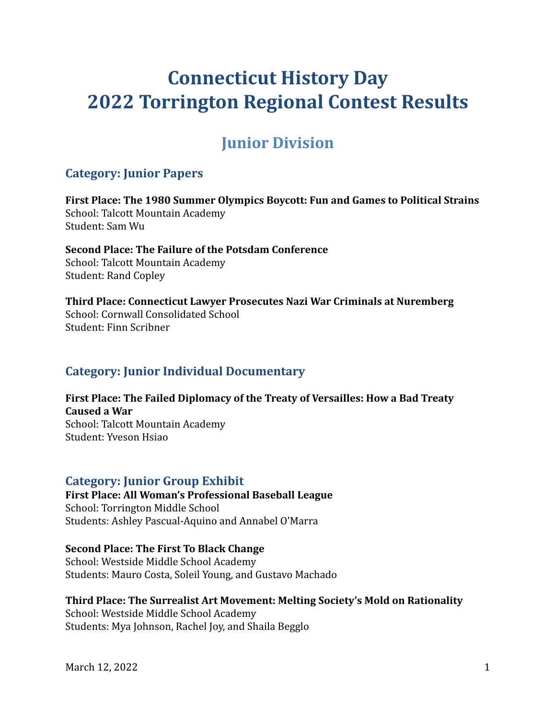# **Connecticut History Day 2022 Torrington Regional Contest Results**

## **Junior Division**

### **Category: Junior Papers**

**First Place: The 1980 Summer Olympics Boycott: Fun and Games to Political Strains** School: Talcott Mountain Academy Student: Sam Wu

**Second Place: The Failure of the Potsdam Conference** School: Talcott Mountain Academy Student: Rand Copley

**Third Place: Connecticut Lawyer Prosecutes Nazi War Criminals at Nuremberg** School: Cornwall Consolidated School Student: Finn Scribner

### **Category: Junior Individual Documentary**

**First Place: The Failed Diplomacy of the Treaty of Versailles: How a Bad Treaty Caused a War** School: Talcott Mountain Academy Student: Yveson Hsiao

#### **Category: Junior Group Exhibit**

**First Place: All Woman's Professional Baseball League** School: Torrington Middle School Students: Ashley Pascual-Aquino and Annabel O'Marra

#### **Second Place: The First To Black Change**

School: Westside Middle School Academy Students: Mauro Costa, Soleil Young, and Gustavo Machado

**Third Place: The Surrealist Art Movement: Melting Society's Mold on Rationality**

School: Westside Middle School Academy Students: Mya Johnson, Rachel Joy, and Shaila Begglo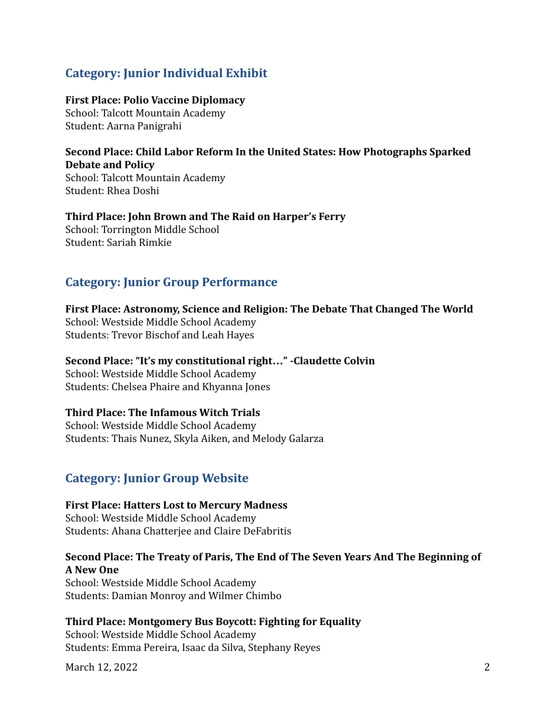### **Category: Junior Individual Exhibit**

#### **First Place: Polio Vaccine Diplomacy**

School: Talcott Mountain Academy Student: Aarna Panigrahi

#### **Second Place: Child Labor Reform In the United States: How Photographs Sparked Debate and Policy**

School: Talcott Mountain Academy Student: Rhea Doshi

#### **Third Place: John Brown and The Raid on Harper's Ferry**

School: Torrington Middle School Student: Sariah Rimkie

### **Category: Junior Group Performance**

**First Place: Astronomy, Science and Religion: The Debate That Changed The World** School: Westside Middle School Academy Students: Trevor Bischof and Leah Hayes

### **Second Place: "It's my constitutional right…" -Claudette Colvin** School: Westside Middle School Academy

Students: Chelsea Phaire and Khyanna Jones

#### **Third Place: The Infamous Witch Trials**

School: Westside Middle School Academy Students: Thais Nunez, Skyla Aiken, and Melody Galarza

### **Category: Junior Group Website**

#### **First Place: Hatters Lost to Mercury Madness**

School: Westside Middle School Academy Students: Ahana Chatterjee and Claire DeFabritis

#### **Second Place: The Treaty of Paris, The End of The Seven Years And The Beginning of A New One**

School: Westside Middle School Academy Students: Damian Monroy and Wilmer Chimbo

#### **Third Place: Montgomery Bus Boycott: Fighting for Equality**

School: Westside Middle School Academy Students: Emma Pereira, Isaac da Silva, Stephany Reyes

March 12, 2022 2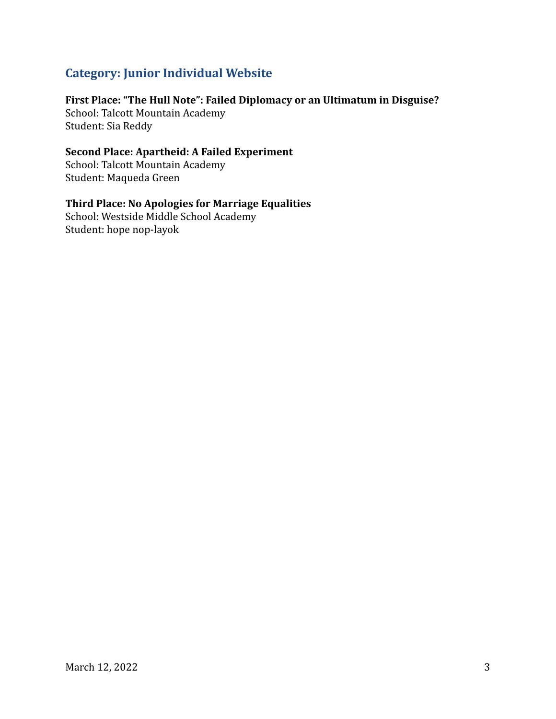### **Category: Junior Individual Website**

#### **First Place: "The Hull Note": Failed Diplomacy or an Ultimatum in Disguise?**

School: Talcott Mountain Academy Student: Sia Reddy

#### **Second Place: Apartheid: A Failed Experiment**

School: Talcott Mountain Academy Student: Maqueda Green

### **Third Place: No Apologies for Marriage Equalities**

School: Westside Middle School Academy Student: hope nop-layok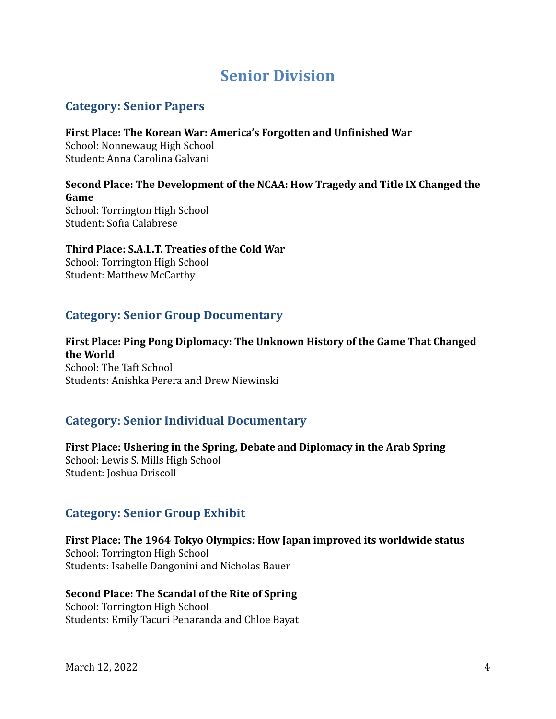## **Senior Division**

### **Category: Senior Papers**

### **First Place: The Korean War: America's Forgotten and Unfinished War**

School: Nonnewaug High School Student: Anna Carolina Galvani

**Second Place: The Development of the NCAA: How Tragedy and Title IX Changed the Game** School: Torrington High School Student: Sofia Calabrese

#### **Third Place: S.A.L.T. Treaties of the Cold War** School: Torrington High School

Student: Matthew McCarthy

### **Category: Senior Group Documentary**

#### **First Place: Ping Pong Diplomacy: The Unknown History of the Game That Changed the World** School: The Taft School

Students: Anishka Perera and Drew Niewinski

### **Category: Senior Individual Documentary**

**First Place: Ushering in the Spring, Debate and Diplomacy in the Arab Spring** School: Lewis S. Mills High School Student: Joshua Driscoll

### **Category: Senior Group Exhibit**

**First Place: The 1964 Tokyo Olympics: How Japan improved its worldwide status** School: Torrington High School Students: Isabelle Dangonini and Nicholas Bauer

#### **Second Place: The Scandal of the Rite of Spring**

School: Torrington High School Students: Emily Tacuri Penaranda and Chloe Bayat